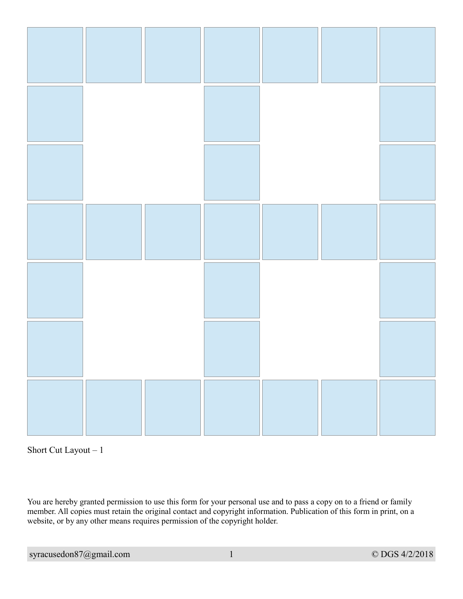



You are hereby granted permission to use this form for your personal use and to pass a copy on to a friend or family member. All copies must retain the original contact and copyright information. Publication of this form in print, on a website, or by any other means requires permission of the copyright holder.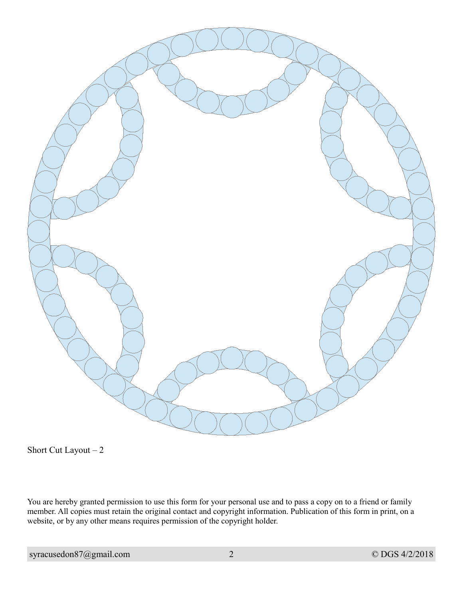

Short Cut Layout – 2

You are hereby granted permission to use this form for your personal use and to pass a copy on to a friend or family member. All copies must retain the original contact and copyright information. Publication of this form in print, on a website, or by any other means requires permission of the copyright holder.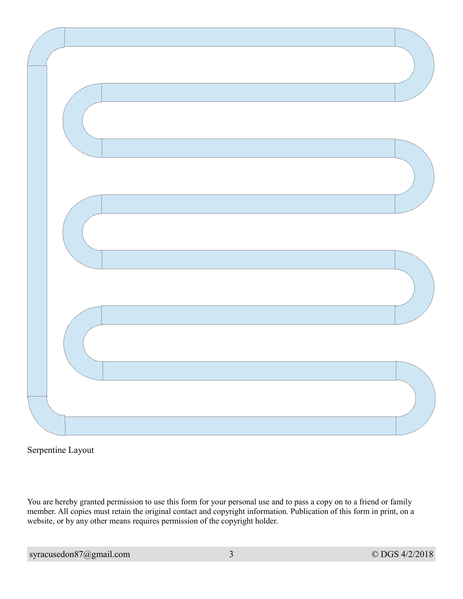Serpentine Layout

You are hereby granted permission to use this form for your personal use and to pass a copy on to a friend or family member. All copies must retain the original contact and copyright information. Publication of this form in print, on a website, or by any other means requires permission of the copyright holder.